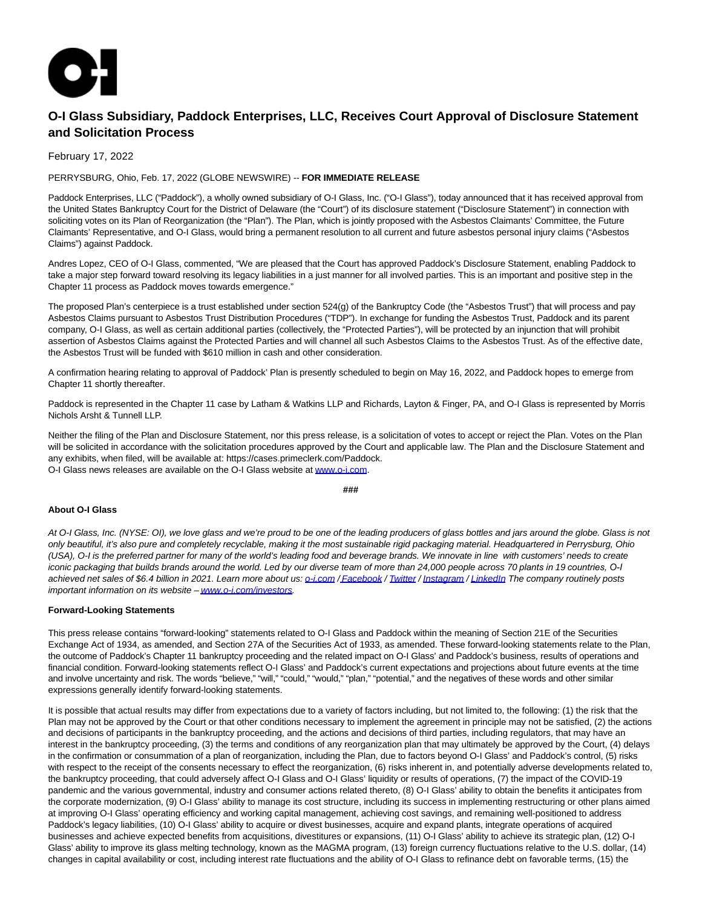

## **O-I Glass Subsidiary, Paddock Enterprises, LLC, Receives Court Approval of Disclosure Statement and Solicitation Process**

February 17, 2022

PERRYSBURG, Ohio, Feb. 17, 2022 (GLOBE NEWSWIRE) -- **FOR IMMEDIATE RELEASE**

Paddock Enterprises, LLC ("Paddock"), a wholly owned subsidiary of O-I Glass, Inc. ("O-I Glass"), today announced that it has received approval from the United States Bankruptcy Court for the District of Delaware (the "Court") of its disclosure statement ("Disclosure Statement") in connection with soliciting votes on its Plan of Reorganization (the "Plan"). The Plan, which is jointly proposed with the Asbestos Claimants' Committee, the Future Claimants' Representative, and O-I Glass, would bring a permanent resolution to all current and future asbestos personal injury claims ("Asbestos Claims") against Paddock.

Andres Lopez, CEO of O-I Glass, commented, "We are pleased that the Court has approved Paddock's Disclosure Statement, enabling Paddock to take a major step forward toward resolving its legacy liabilities in a just manner for all involved parties. This is an important and positive step in the Chapter 11 process as Paddock moves towards emergence."

The proposed Plan's centerpiece is a trust established under section 524(g) of the Bankruptcy Code (the "Asbestos Trust") that will process and pay Asbestos Claims pursuant to Asbestos Trust Distribution Procedures ("TDP"). In exchange for funding the Asbestos Trust, Paddock and its parent company, O-I Glass, as well as certain additional parties (collectively, the "Protected Parties"), will be protected by an injunction that will prohibit assertion of Asbestos Claims against the Protected Parties and will channel all such Asbestos Claims to the Asbestos Trust. As of the effective date, the Asbestos Trust will be funded with \$610 million in cash and other consideration.

A confirmation hearing relating to approval of Paddock' Plan is presently scheduled to begin on May 16, 2022, and Paddock hopes to emerge from Chapter 11 shortly thereafter.

Paddock is represented in the Chapter 11 case by Latham & Watkins LLP and Richards, Layton & Finger, PA, and O-I Glass is represented by Morris Nichols Arsht & Tunnell LLP.

Neither the filing of the Plan and Disclosure Statement, nor this press release, is a solicitation of votes to accept or reject the Plan. Votes on the Plan will be solicited in accordance with the solicitation procedures approved by the Court and applicable law. The Plan and the Disclosure Statement and any exhibits, when filed, will be available at: https://cases.primeclerk.com/Paddock. O-I Glass news releases are available on the O-I Glass website a[t www.o-i.com.](http://o-i.com/)

**###**

## **About O-I Glass**

At O-I Glass, Inc. (NYSE: OI), we love glass and we're proud to be one of the leading producers of glass bottles and jars around the globe. Glass is not only beautiful, it's also pure and completely recyclable, making it the most sustainable rigid packaging material. Headquartered in Perrysburg, Ohio (USA), O-I is the preferred partner for many of the world's leading food and beverage brands. We innovate in line with customers' needs to create iconic packaging that builds brands around the world. Led by our diverse team of more than 24,000 people across 70*plants in* 19*countries, O-I* achieved net sales of \$6.4 billion in 2021. Learn more about us[: o-i.com /](http://o-i.com/) [Facebook /](https://www.facebook.com/OIGlass) [Twitter /](https://twitter.com/OI_Glass) [Instagram /](https://www.instagram.com/OI_Glass/) [LinkedIn T](https://www.linkedin.com/company/o-i)he company routinely posts important information on its website [– www.o-i.com/investors.](http://o-i.com/investors)

## **Forward-Looking Statements**

This press release contains "forward-looking" statements related to O-I Glass and Paddock within the meaning of Section 21E of the Securities Exchange Act of 1934, as amended, and Section 27A of the Securities Act of 1933, as amended. These forward-looking statements relate to the Plan, the outcome of Paddock's Chapter 11 bankruptcy proceeding and the related impact on O-I Glass' and Paddock's business, results of operations and financial condition. Forward-looking statements reflect O-I Glass' and Paddock's current expectations and projections about future events at the time and involve uncertainty and risk. The words "believe," "will," "could," "would," "plan," "potential," and the negatives of these words and other similar expressions generally identify forward-looking statements.

It is possible that actual results may differ from expectations due to a variety of factors including, but not limited to, the following: (1) the risk that the Plan may not be approved by the Court or that other conditions necessary to implement the agreement in principle may not be satisfied, (2) the actions and decisions of participants in the bankruptcy proceeding, and the actions and decisions of third parties, including regulators, that may have an interest in the bankruptcy proceeding, (3) the terms and conditions of any reorganization plan that may ultimately be approved by the Court, (4) delays in the confirmation or consummation of a plan of reorganization, including the Plan, due to factors beyond O-I Glass' and Paddock's control, (5) risks with respect to the receipt of the consents necessary to effect the reorganization, (6) risks inherent in, and potentially adverse developments related to, the bankruptcy proceeding, that could adversely affect O-I Glass and O-I Glass' liquidity or results of operations, (7) the impact of the COVID-19 pandemic and the various governmental, industry and consumer actions related thereto, (8) O-I Glass' ability to obtain the benefits it anticipates from the corporate modernization, (9) O-I Glass' ability to manage its cost structure, including its success in implementing restructuring or other plans aimed at improving O-I Glass' operating efficiency and working capital management, achieving cost savings, and remaining well-positioned to address Paddock's legacy liabilities, (10) O-I Glass' ability to acquire or divest businesses, acquire and expand plants, integrate operations of acquired businesses and achieve expected benefits from acquisitions, divestitures or expansions, (11) O-I Glass' ability to achieve its strategic plan, (12) O-I Glass' ability to improve its glass melting technology, known as the MAGMA program, (13) foreign currency fluctuations relative to the U.S. dollar, (14) changes in capital availability or cost, including interest rate fluctuations and the ability of O-I Glass to refinance debt on favorable terms, (15) the